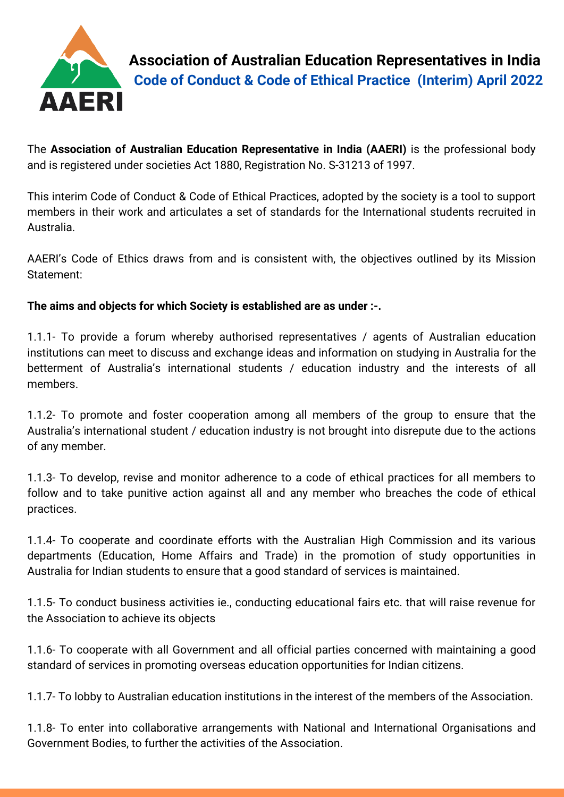

**Association of Australian Education Representatives in India Code of Conduct & Code of Ethical Practice (Interim) April 2022**

The **Association of Australian Education Representative in India (AAERI)** is the professional body and is registered under societies Act 1880, Registration No. S-31213 of 1997.

This interim Code of Conduct & Code of Ethical Practices, adopted by the society is a tool to support members in their work and articulates a set of standards for the International students recruited in Australia.

AAERI's Code of Ethics draws from and is consistent with, the objectives outlined by its Mission Statement:

**The aims and objects for which Society is established are as under :-.**

1.1.1- To provide a forum whereby authorised representatives / agents of Australian education institutions can meet to discuss and exchange ideas and information on studying in Australia for the betterment of Australia's international students / education industry and the interests of all members.

1.1.2- To promote and foster cooperation among all members of the group to ensure that the Australia's international student / education industry is not brought into disrepute due to the actions of any member.

1.1.3- To develop, revise and monitor adherence to a code of ethical practices for all members to follow and to take punitive action against all and any member who breaches the code of ethical practices.

1.1.4- To cooperate and coordinate efforts with the Australian High Commission and its various departments (Education, Home Affairs and Trade) in the promotion of study opportunities in Australia for Indian students to ensure that a good standard of services is maintained.

1.1.5- To conduct business activities ie., conducting educational fairs etc. that will raise revenue for the Association to achieve its objects

1.1.6- To cooperate with all Government and all official parties concerned with maintaining a good standard of services in promoting overseas education opportunities for Indian citizens.

1.1.7- To lobby to Australian education institutions in the interest of the members of the Association.

1.1.8- To enter into collaborative arrangements with National and International Organisations and Government Bodies, to further the activities of the Association.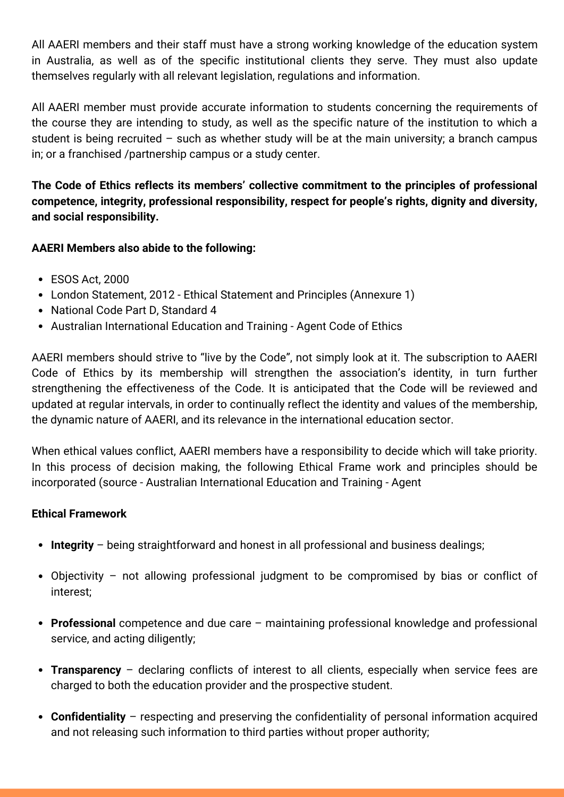All AAERI members and their staff must have a strong working knowledge of the education system in Australia, as well as of the specific institutional clients they serve. They must also update themselves regularly with all relevant legislation, regulations and information.

All AAERI member must provide accurate information to students concerning the requirements of the course they are intending to study, as well as the specific nature of the institution to which a student is being recruited – such as whether study will be at the main university; a branch campus in; or a franchised /partnership campus or a study center.

**The Code of Ethics reflects its members' collective commitment to the principles of professional competence, integrity, professional responsibility, respect for people's rights, dignity and diversity, and social responsibility.**

## **AAERI Members also abide to the following:**

- ESOS Act, 2000
- London Statement, 2012 Ethical Statement and Principles (Annexure 1)
- National Code Part D, Standard 4
- Australian International Education and Training Agent Code of Ethics

AAERI members should strive to "live by the Code", not simply look at it. The subscription to AAERI Code of Ethics by its membership will strengthen the association's identity, in turn further strengthening the effectiveness of the Code. It is anticipated that the Code will be reviewed and updated at regular intervals, in order to continually reflect the identity and values of the membership, the dynamic nature of AAERI, and its relevance in the international education sector.

When ethical values conflict, AAERI members have a responsibility to decide which will take priority. In this process of decision making, the following Ethical Frame work and principles should be incorporated (source - Australian International Education and Training - Agent

#### **Ethical Framework**

- **Integrity** being straightforward and honest in all professional and business dealings;
- Objectivity not allowing professional judgment to be compromised by bias or conflict of interest;
- **Professional** competence and due care maintaining professional knowledge and professional service, and acting diligently;
- **Transparency** declaring conflicts of interest to all clients, especially when service fees are charged to both the education provider and the prospective student.
- **Confidentiality** respecting and preserving the confidentiality of personal information acquired and not releasing such information to third parties without proper authority;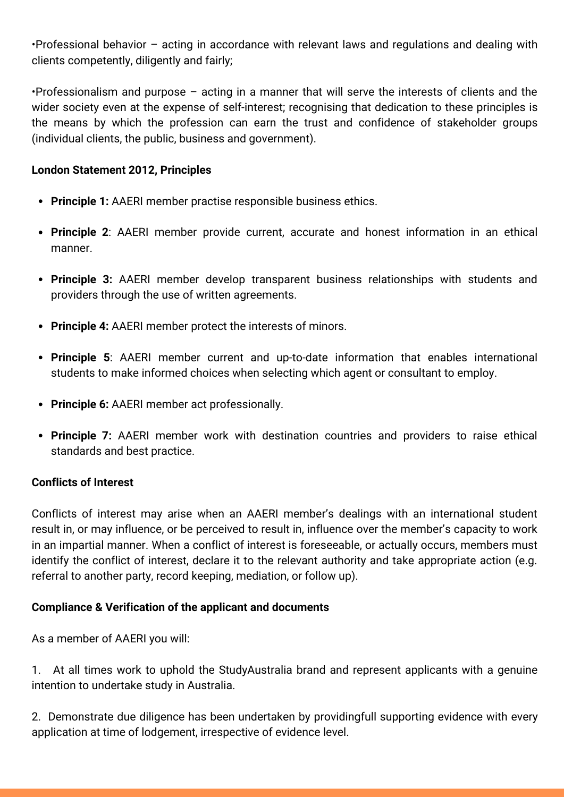•Professional behavior – acting in accordance with relevant laws and regulations and dealing with clients competently, diligently and fairly;

•Professionalism and purpose – acting in a manner that will serve the interests of clients and the wider society even at the expense of self-interest; recognising that dedication to these principles is the means by which the profession can earn the trust and confidence of stakeholder groups (individual clients, the public, business and government).

#### **London Statement 2012, Principles**

- **Principle 1:** AAERI member practise responsible business ethics.
- **Principle 2**: AAERI member provide current, accurate and honest information in an ethical manner.
- **Principle 3:** AAERI member develop transparent business relationships with students and providers through the use of written agreements.
- **Principle 4:** AAERI member protect the interests of minors.
- **Principle 5**: AAERI member current and up-to-date information that enables international students to make informed choices when selecting which agent or consultant to employ.
- **Principle 6:** AAERI member act professionally.
- **Principle 7:** AAERI member work with destination countries and providers to raise ethical standards and best practice.

#### **Conflicts of Interest**

Conflicts of interest may arise when an AAERI member's dealings with an international student result in, or may influence, or be perceived to result in, influence over the member's capacity to work in an impartial manner. When a conflict of interest is foreseeable, or actually occurs, members must identify the conflict of interest, declare it to the relevant authority and take appropriate action (e.g. referral to another party, record keeping, mediation, or follow up).

#### **Compliance & Verification of the applicant and documents**

As a member of AAERI you will:

1. At all times work to uphold the StudyAustralia brand and represent applicants with a genuine intention to undertake study in Australia.

2. Demonstrate due diligence has been undertaken by providingfull supporting evidence with every application at time of lodgement, irrespective of evidence level.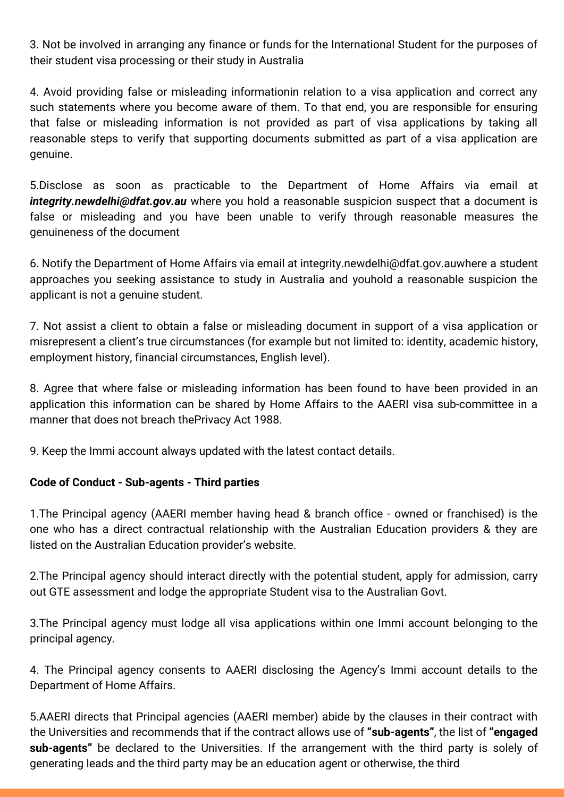3. Not be involved in arranging any finance or funds for the International Student for the purposes of their student visa processing or their study in Australia

4. Avoid providing false or misleading informationin relation to a visa application and correct any such statements where you become aware of them. To that end, you are responsible for ensuring that false or misleading information is not provided as part of visa applications by taking all reasonable steps to verify that supporting documents submitted as part of a visa application are genuine.

5.Disclose as soon as practicable to the Department of Home Affairs via email at *[integrity.newdelhi@dfat.gov.au](mailto:integrity.newdelhi@dfat.gov.au)* where you hold a reasonable suspicion suspect that a document is false or misleading and you have been unable to verify through reasonable measures the genuineness of the document

6. Notify the Department of Home Affairs via email at [integrity.newdelhi@dfat.gov.au](mailto:integrity.newdelhi@dfat.gov.au)where a student approaches you seeking assistance to study in Australia and youhold a reasonable suspicion the applicant is not a genuine student.

7. Not assist a client to obtain a false or misleading document in support of a visa application or misrepresent a client's true circumstances (for example but not limited to: identity, academic history, employment history, financial circumstances, English level).

8. Agree that where false or misleading information has been found to have been provided in an application this information can be shared by Home Affairs to the AAERI visa sub-committee in a manner that does not breach thePrivacy Act 1988.

9. Keep the Immi account always updated with the latest contact details.

#### **Code of Conduct - Sub-agents - Third parties**

1.The Principal agency (AAERI member having head & branch office - owned or franchised) is the one who has a direct contractual relationship with the Australian Education providers & they are listed on the Australian Education provider's website.

2.The Principal agency should interact directly with the potential student, apply for admission, carry out GTE assessment and lodge the appropriate Student visa to the Australian Govt.

3.The Principal agency must lodge all visa applications within one Immi account belonging to the principal agency.

4. The Principal agency consents to AAERI disclosing the Agency's Immi account details to the Department of Home Affairs.

5.AAERI directs that Principal agencies (AAERI member) abide by the clauses in their contract with the Universities and recommends that if the contract allows use of **"sub-agents"**, the list of **"engaged sub-agents"** be declared to the Universities. If the arrangement with the third party is solely of generating leads and the third party may be an education agent or otherwise, the third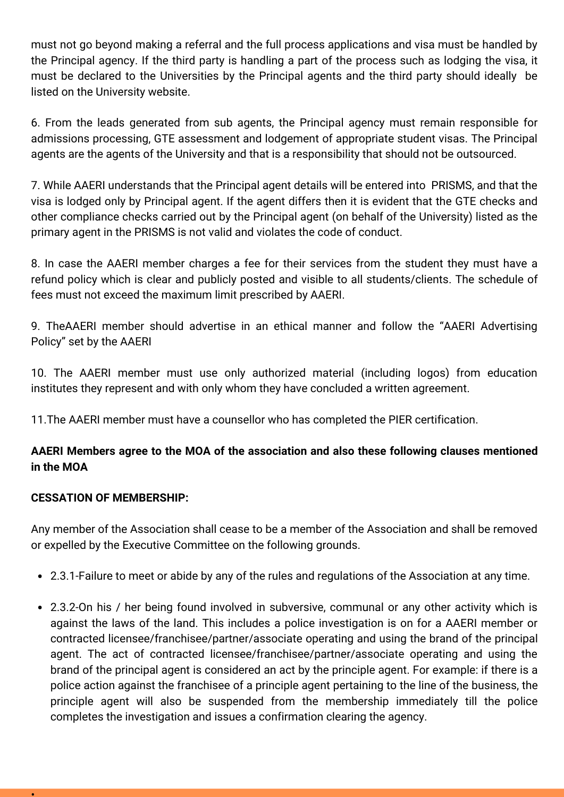must not go beyond making a referral and the full process applications and visa must be handled by the Principal agency. If the third party is handling a part of the process such as lodging the visa, it must be declared to the Universities by the Principal agents and the third party should ideally be listed on the University website.

6. From the leads generated from sub agents, the Principal agency must remain responsible for admissions processing, GTE assessment and lodgement of appropriate student visas. The Principal agents are the agents of the University and that is a responsibility that should not be outsourced.

7. While AAERI understands that the Principal agent details will be entered into PRISMS, and that the visa is lodged only by Principal agent. If the agent differs then it is evident that the GTE checks and other compliance checks carried out by the Principal agent (on behalf of the University) listed as the primary agent in the PRISMS is not valid and violates the code of conduct.

8. In case the AAERI member charges a fee for their services from the student they must have a refund policy which is clear and publicly posted and visible to all students/clients. The schedule of fees must not exceed the maximum limit prescribed by AAERI.

9. TheAAERI member should advertise in an ethical manner and follow the "AAERI Advertising Policy" set by the AAERI

10. The AAERI member must use only authorized material (including logos) from education institutes they represent and with only whom they have concluded a written agreement.

11.The AAERI member must have a counsellor who has completed the PIER certification.

# **AAERI Members agree to the MOA of the association and also these following clauses mentioned in the MOA**

## **CESSATION OF MEMBERSHIP:**

•

Any member of the Association shall cease to be a member of the Association and shall be removed or expelled by the Executive Committee on the following grounds.

- 2.3.1-Failure to meet or abide by any of the rules and regulations of the Association at any time.
- 2.3.2-On his / her being found involved in subversive, communal or any other activity which is against the laws of the land. This includes a police investigation is on for a AAERI member or contracted licensee/franchisee/partner/associate operating and using the brand of the principal agent. The act of contracted licensee/franchisee/partner/associate operating and using the brand of the principal agent is considered an act by the principle agent. For example: if there is a police action against the franchisee of a principle agent pertaining to the line of the business, the principle agent will also be suspended from the membership immediately till the police completes the investigation and issues a confirmation clearing the agency.